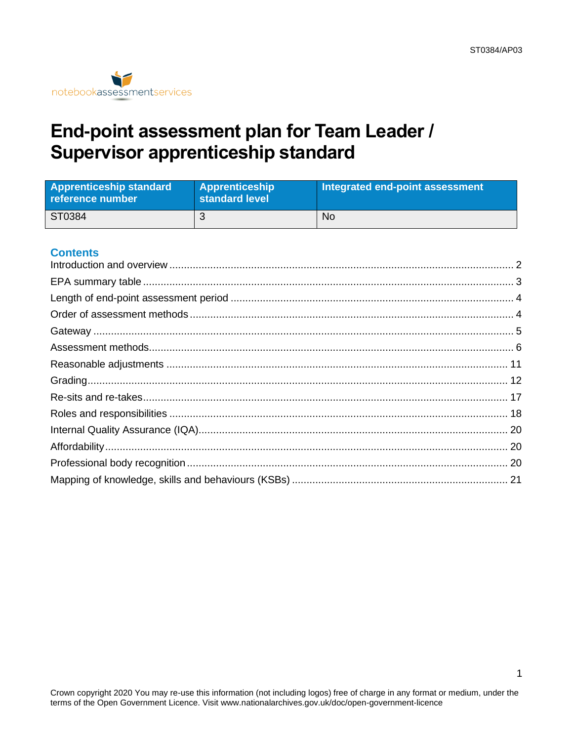

# End-point assessment plan for Team Leader / **Supervisor apprenticeship standard**

| <b>Apprenticeship standard</b><br>reference number | <b>Apprenticeship</b><br>standard level | Integrated end-point assessment |
|----------------------------------------------------|-----------------------------------------|---------------------------------|
| ST0384                                             |                                         | No                              |

### **Contents**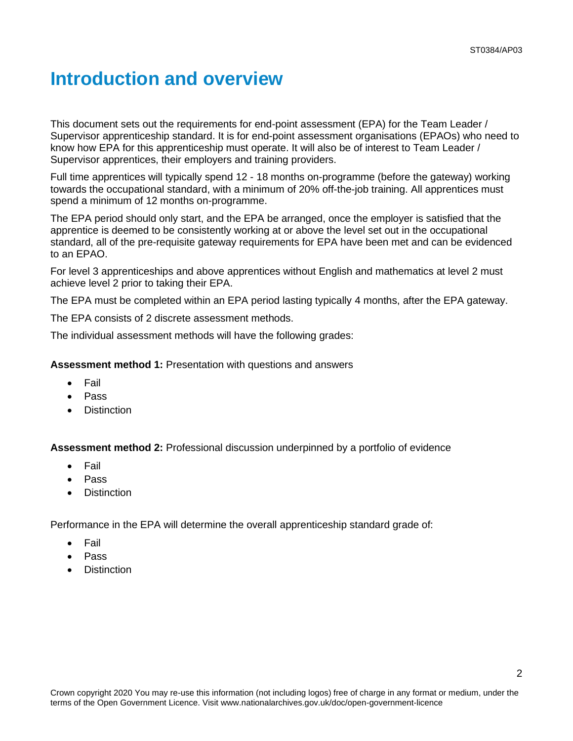## <span id="page-1-0"></span>**Introduction and overview**

This document sets out the requirements for end-point assessment (EPA) for the Team Leader / Supervisor apprenticeship standard. It is for end-point assessment organisations (EPAOs) who need to know how EPA for this apprenticeship must operate. It will also be of interest to Team Leader / Supervisor apprentices, their employers and training providers.

Full time apprentices will typically spend 12 - 18 months on-programme (before the gateway) working towards the occupational standard, with a minimum of 20% off-the-job training. All apprentices must spend a minimum of 12 months on-programme.

The EPA period should only start, and the EPA be arranged, once the employer is satisfied that the apprentice is deemed to be consistently working at or above the level set out in the occupational standard, all of the pre-requisite gateway requirements for EPA have been met and can be evidenced to an EPAO.

For level 3 apprenticeships and above apprentices without English and mathematics at level 2 must achieve level 2 prior to taking their EPA.

The EPA must be completed within an EPA period lasting typically 4 months, after the EPA gateway.

The EPA consists of 2 discrete assessment methods.

The individual assessment methods will have the following grades:

**Assessment method 1:** Presentation with questions and answers

- Fail
- Pass
- **Distinction**

**Assessment method 2:** Professional discussion underpinned by a portfolio of evidence

- Fail
- Pass
- **Distinction**

Performance in the EPA will determine the overall apprenticeship standard grade of:

- **Fail**
- Pass
- **Distinction**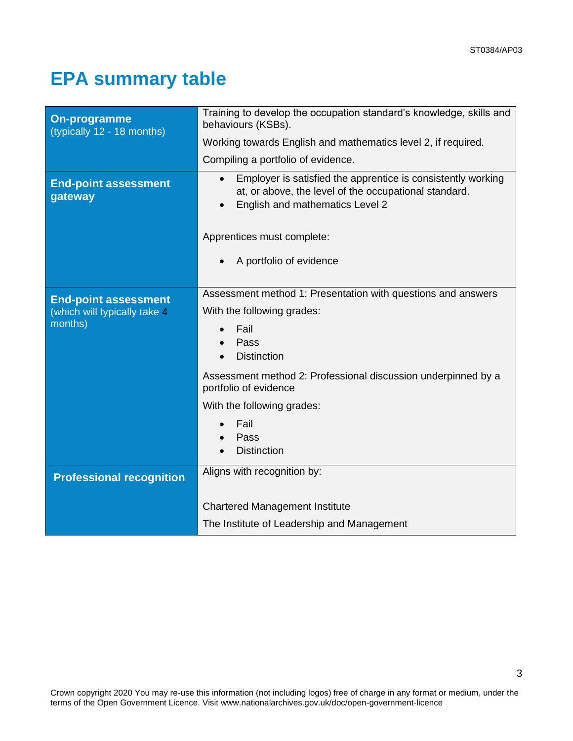3

# <span id="page-2-0"></span>**EPA summary table**

| <b>On-programme</b><br>(typically 12 - 18 months) | Training to develop the occupation standard's knowledge, skills and<br>behaviours (KSBs).                                                                |
|---------------------------------------------------|----------------------------------------------------------------------------------------------------------------------------------------------------------|
|                                                   | Working towards English and mathematics level 2, if required.                                                                                            |
|                                                   | Compiling a portfolio of evidence.                                                                                                                       |
| <b>End-point assessment</b><br>gateway            | Employer is satisfied the apprentice is consistently working<br>at, or above, the level of the occupational standard.<br>English and mathematics Level 2 |
|                                                   | Apprentices must complete:                                                                                                                               |
|                                                   | A portfolio of evidence                                                                                                                                  |
|                                                   |                                                                                                                                                          |
| <b>End-point assessment</b>                       | Assessment method 1: Presentation with questions and answers                                                                                             |
| (which will typically take 4                      | With the following grades:                                                                                                                               |
| months)                                           | Fail                                                                                                                                                     |
|                                                   | Pass<br><b>Distinction</b>                                                                                                                               |
|                                                   |                                                                                                                                                          |
|                                                   | Assessment method 2: Professional discussion underpinned by a<br>portfolio of evidence                                                                   |
|                                                   | With the following grades:                                                                                                                               |
|                                                   | Fail                                                                                                                                                     |
|                                                   | Pass                                                                                                                                                     |
|                                                   | <b>Distinction</b>                                                                                                                                       |
| <b>Professional recognition</b>                   | Aligns with recognition by:                                                                                                                              |
|                                                   |                                                                                                                                                          |
|                                                   | <b>Chartered Management Institute</b>                                                                                                                    |
|                                                   | The Institute of Leadership and Management                                                                                                               |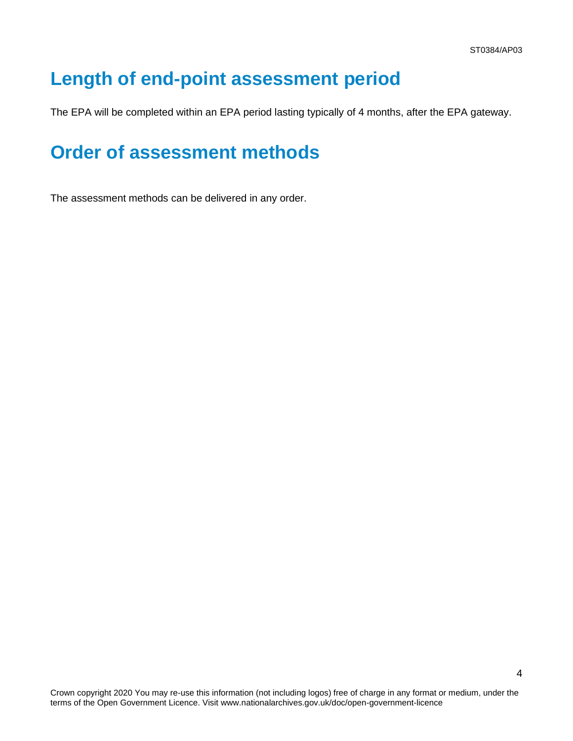4

# <span id="page-3-0"></span>**Length of end-point assessment period**

The EPA will be completed within an EPA period lasting typically of 4 months, after the EPA gateway.

## <span id="page-3-1"></span>**Order of assessment methods**

The assessment methods can be delivered in any order.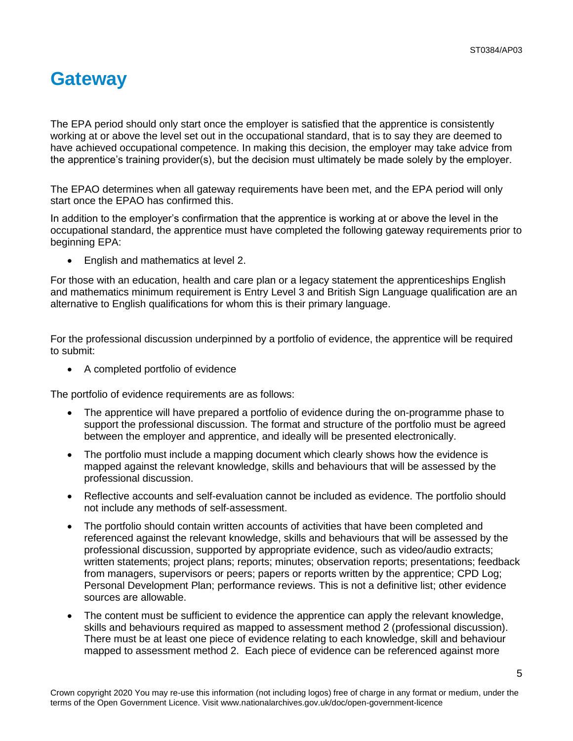## <span id="page-4-0"></span>**Gateway**

The EPA period should only start once the employer is satisfied that the apprentice is consistently working at or above the level set out in the occupational standard, that is to say they are deemed to have achieved occupational competence. In making this decision, the employer may take advice from the apprentice's training provider(s), but the decision must ultimately be made solely by the employer.

The EPAO determines when all gateway requirements have been met, and the EPA period will only start once the EPAO has confirmed this.

In addition to the employer's confirmation that the apprentice is working at or above the level in the occupational standard, the apprentice must have completed the following gateway requirements prior to beginning EPA:

• English and mathematics at level 2.

For those with an education, health and care plan or a legacy statement the apprenticeships English and mathematics minimum requirement is Entry Level 3 and British Sign Language qualification are an alternative to English qualifications for whom this is their primary language.

For the professional discussion underpinned by a portfolio of evidence, the apprentice will be required to submit:

• A completed portfolio of evidence

The portfolio of evidence requirements are as follows:

- The apprentice will have prepared a portfolio of evidence during the on-programme phase to support the professional discussion. The format and structure of the portfolio must be agreed between the employer and apprentice, and ideally will be presented electronically.
- The portfolio must include a mapping document which clearly shows how the evidence is mapped against the relevant knowledge, skills and behaviours that will be assessed by the professional discussion.
- Reflective accounts and self-evaluation cannot be included as evidence. The portfolio should not include any methods of self-assessment.
- The portfolio should contain written accounts of activities that have been completed and referenced against the relevant knowledge, skills and behaviours that will be assessed by the professional discussion, supported by appropriate evidence, such as video/audio extracts; written statements; project plans; reports; minutes; observation reports; presentations; feedback from managers, supervisors or peers; papers or reports written by the apprentice; CPD Log; Personal Development Plan; performance reviews. This is not a definitive list; other evidence sources are allowable.
- The content must be sufficient to evidence the apprentice can apply the relevant knowledge, skills and behaviours required as mapped to assessment method 2 (professional discussion). There must be at least one piece of evidence relating to each knowledge, skill and behaviour mapped to assessment method 2. Each piece of evidence can be referenced against more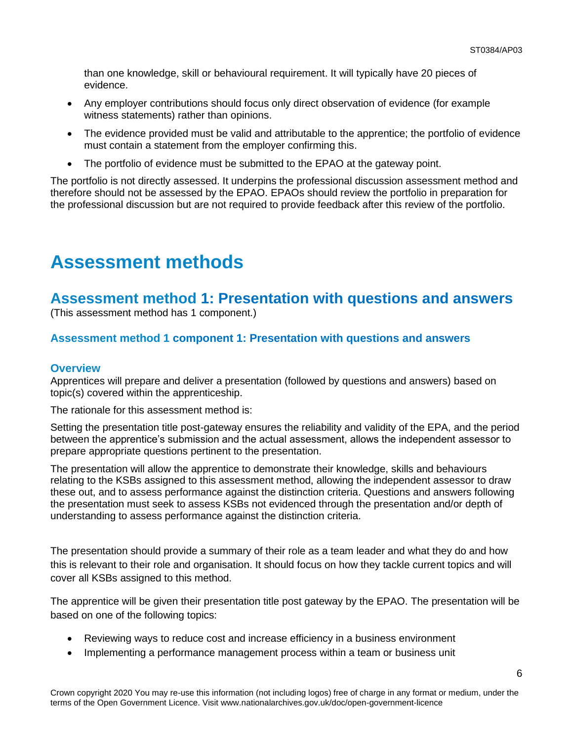than one knowledge, skill or behavioural requirement. It will typically have 20 pieces of evidence.

- Any employer contributions should focus only direct observation of evidence (for example witness statements) rather than opinions.
- The evidence provided must be valid and attributable to the apprentice; the portfolio of evidence must contain a statement from the employer confirming this.
- The portfolio of evidence must be submitted to the EPAO at the gateway point.

The portfolio is not directly assessed. It underpins the professional discussion assessment method and therefore should not be assessed by the EPAO. EPAOs should review the portfolio in preparation for the professional discussion but are not required to provide feedback after this review of the portfolio.

# <span id="page-5-0"></span>**Assessment methods**

## **Assessment method 1: Presentation with questions and answers**

(This assessment method has 1 component.)

### **Assessment method 1 component 1: Presentation with questions and answers**

### **Overview**

Apprentices will prepare and deliver a presentation (followed by questions and answers) based on topic(s) covered within the apprenticeship.

The rationale for this assessment method is:

Setting the presentation title post-gateway ensures the reliability and validity of the EPA, and the period between the apprentice's submission and the actual assessment, allows the independent assessor to prepare appropriate questions pertinent to the presentation.

The presentation will allow the apprentice to demonstrate their knowledge, skills and behaviours relating to the KSBs assigned to this assessment method, allowing the independent assessor to draw these out, and to assess performance against the distinction criteria. Questions and answers following the presentation must seek to assess KSBs not evidenced through the presentation and/or depth of understanding to assess performance against the distinction criteria.

The presentation should provide a summary of their role as a team leader and what they do and how this is relevant to their role and organisation. It should focus on how they tackle current topics and will cover all KSBs assigned to this method.

The apprentice will be given their presentation title post gateway by the EPAO. The presentation will be based on one of the following topics:

- Reviewing ways to reduce cost and increase efficiency in a business environment
- Implementing a performance management process within a team or business unit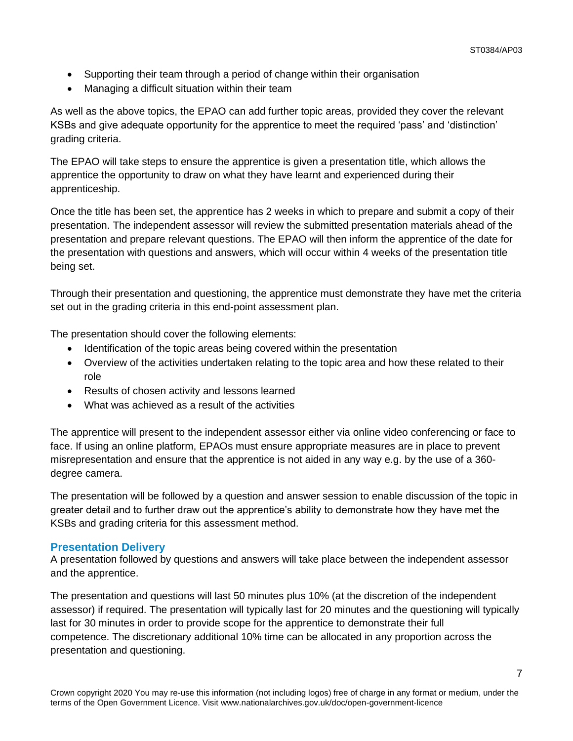- Supporting their team through a period of change within their organisation
- Managing a difficult situation within their team

As well as the above topics, the EPAO can add further topic areas, provided they cover the relevant KSBs and give adequate opportunity for the apprentice to meet the required 'pass' and 'distinction' grading criteria.

The EPAO will take steps to ensure the apprentice is given a presentation title, which allows the apprentice the opportunity to draw on what they have learnt and experienced during their apprenticeship.

Once the title has been set, the apprentice has 2 weeks in which to prepare and submit a copy of their presentation. The independent assessor will review the submitted presentation materials ahead of the presentation and prepare relevant questions. The EPAO will then inform the apprentice of the date for the presentation with questions and answers, which will occur within 4 weeks of the presentation title being set.

Through their presentation and questioning, the apprentice must demonstrate they have met the criteria set out in the grading criteria in this end-point assessment plan.

The presentation should cover the following elements:

- Identification of the topic areas being covered within the presentation
- Overview of the activities undertaken relating to the topic area and how these related to their role
- Results of chosen activity and lessons learned
- What was achieved as a result of the activities

The apprentice will present to the independent assessor either via online video conferencing or face to face. If using an online platform, EPAOs must ensure appropriate measures are in place to prevent misrepresentation and ensure that the apprentice is not aided in any way e.g. by the use of a 360 degree camera.

The presentation will be followed by a question and answer session to enable discussion of the topic in greater detail and to further draw out the apprentice's ability to demonstrate how they have met the KSBs and grading criteria for this assessment method.

### **Presentation Delivery**

A presentation followed by questions and answers will take place between the independent assessor and the apprentice.

The presentation and questions will last 50 minutes plus 10% (at the discretion of the independent assessor) if required. The presentation will typically last for 20 minutes and the questioning will typically last for 30 minutes in order to provide scope for the apprentice to demonstrate their full competence. The discretionary additional 10% time can be allocated in any proportion across the presentation and questioning.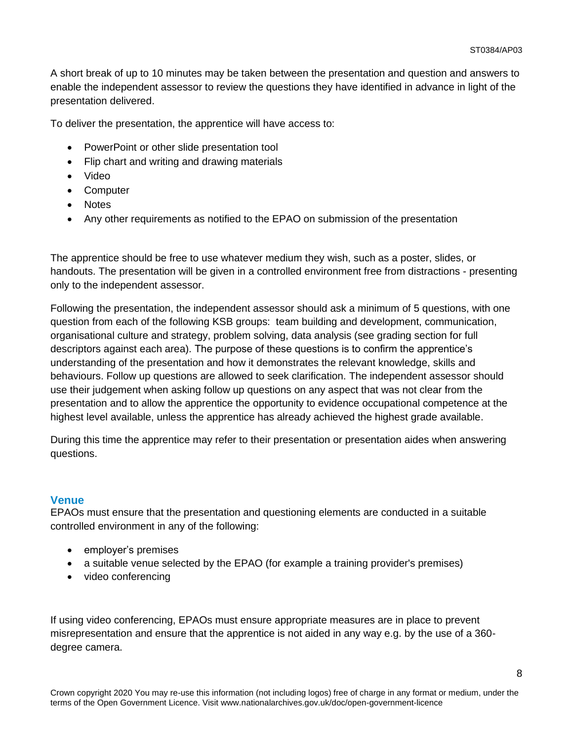A short break of up to 10 minutes may be taken between the presentation and question and answers to enable the independent assessor to review the questions they have identified in advance in light of the presentation delivered.

To deliver the presentation, the apprentice will have access to:

- PowerPoint or other slide presentation tool
- Flip chart and writing and drawing materials
- Video
- Computer
- Notes
- Any other requirements as notified to the EPAO on submission of the presentation

The apprentice should be free to use whatever medium they wish, such as a poster, slides, or handouts. The presentation will be given in a controlled environment free from distractions - presenting only to the independent assessor.

Following the presentation, the independent assessor should ask a minimum of 5 questions, with one question from each of the following KSB groups: team building and development, communication, organisational culture and strategy, problem solving, data analysis (see grading section for full descriptors against each area). The purpose of these questions is to confirm the apprentice's understanding of the presentation and how it demonstrates the relevant knowledge, skills and behaviours. Follow up questions are allowed to seek clarification. The independent assessor should use their judgement when asking follow up questions on any aspect that was not clear from the presentation and to allow the apprentice the opportunity to evidence occupational competence at the highest level available, unless the apprentice has already achieved the highest grade available.

During this time the apprentice may refer to their presentation or presentation aides when answering questions.

#### **Venue**

EPAOs must ensure that the presentation and questioning elements are conducted in a suitable controlled environment in any of the following:

- employer's premises
- a suitable venue selected by the EPAO (for example a training provider's premises)
- video conferencing

If using video conferencing, EPAOs must ensure appropriate measures are in place to prevent misrepresentation and ensure that the apprentice is not aided in any way e.g. by the use of a 360 degree camera.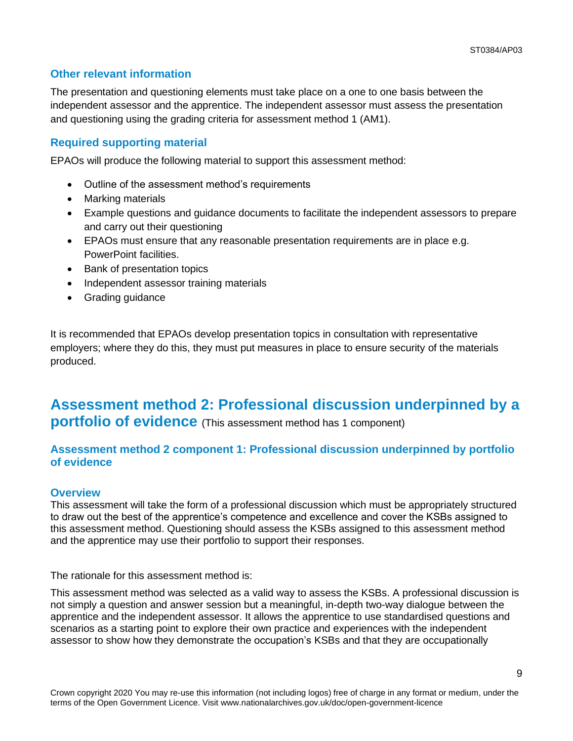### **Other relevant information**

The presentation and questioning elements must take place on a one to one basis between the independent assessor and the apprentice. The independent assessor must assess the presentation and questioning using the grading criteria for assessment method 1 (AM1).

### **Required supporting material**

EPAOs will produce the following material to support this assessment method:

- Outline of the assessment method's requirements
- Marking materials
- Example questions and guidance documents to facilitate the independent assessors to prepare and carry out their questioning
- EPAOs must ensure that any reasonable presentation requirements are in place e.g. PowerPoint facilities.
- Bank of presentation topics
- Independent assessor training materials
- Grading guidance

It is recommended that EPAOs develop presentation topics in consultation with representative employers; where they do this, they must put measures in place to ensure security of the materials produced.

### **Assessment method 2: Professional discussion underpinned by a portfolio of evidence** (This assessment method has 1 component)

### **Assessment method 2 component 1: Professional discussion underpinned by portfolio of evidence**

### **Overview**

This assessment will take the form of a professional discussion which must be appropriately structured to draw out the best of the apprentice's competence and excellence and cover the KSBs assigned to this assessment method. Questioning should assess the KSBs assigned to this assessment method and the apprentice may use their portfolio to support their responses.

The rationale for this assessment method is:

This assessment method was selected as a valid way to assess the KSBs. A professional discussion is not simply a question and answer session but a meaningful, in-depth two-way dialogue between the apprentice and the independent assessor. It allows the apprentice to use standardised questions and scenarios as a starting point to explore their own practice and experiences with the independent assessor to show how they demonstrate the occupation's KSBs and that they are occupationally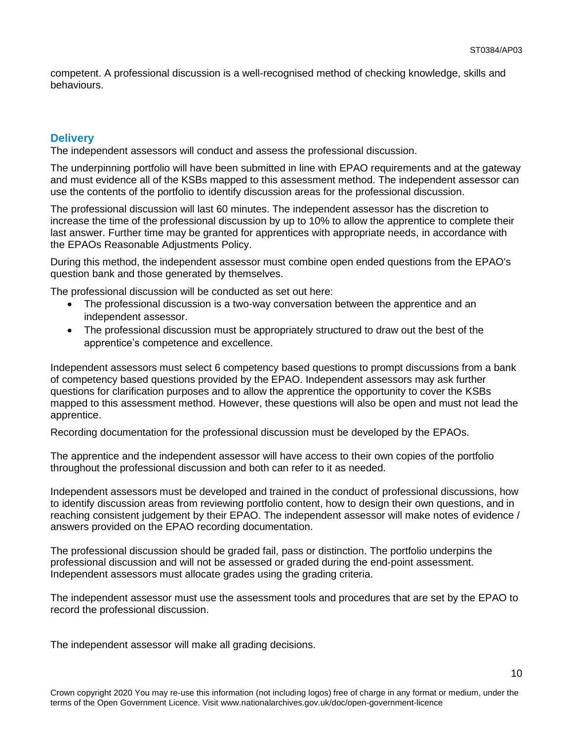competent. A professional discussion is a well-recognised method of checking knowledge, skills and behaviours.

### **Delivery**

The independent assessors will conduct and assess the professional discussion.

The underpinning portfolio will have been submitted in line with EPAO requirements and at the gateway and must evidence all of the KSBs mapped to this assessment method. The independent assessor can use the contents of the portfolio to identify discussion areas for the professional discussion.

The professional discussion will last 60 minutes. The independent assessor has the discretion to increase the time of the professional discussion by up to 10% to allow the apprentice to complete their last answer. Further time may be granted for apprentices with appropriate needs, in accordance with the EPAOs Reasonable Adjustments Policy.

During this method, the independent assessor must combine open ended questions from the EPAO's question bank and those generated by themselves.

The professional discussion will be conducted as set out here:

- The professional discussion is a two-way conversation between the apprentice and an independent assessor.
- The professional discussion must be appropriately structured to draw out the best of the apprentice's competence and excellence.

Independent assessors must select 6 competency based questions to prompt discussions from a bank of competency based questions provided by the EPAO. Independent assessors may ask further questions for clarification purposes and to allow the apprentice the opportunity to cover the KSBs mapped to this assessment method. However, these questions will also be open and must not lead the apprentice.

Recording documentation for the professional discussion must be developed by the EPAOs.

The apprentice and the independent assessor will have access to their own copies of the portfolio throughout the professional discussion and both can refer to it as needed.

Independent assessors must be developed and trained in the conduct of professional discussions, how to identify discussion areas from reviewing portfolio content, how to design their own questions, and in reaching consistent judgement by their EPAO. The independent assessor will make notes of evidence / answers provided on the EPAO recording documentation.

The professional discussion should be graded fail, pass or distinction. The portfolio underpins the professional discussion and will not be assessed or graded during the end-point assessment. Independent assessors must allocate grades using the grading criteria.

The independent assessor must use the assessment tools and procedures that are set by the EPAO to record the professional discussion.

The independent assessor will make all grading decisions.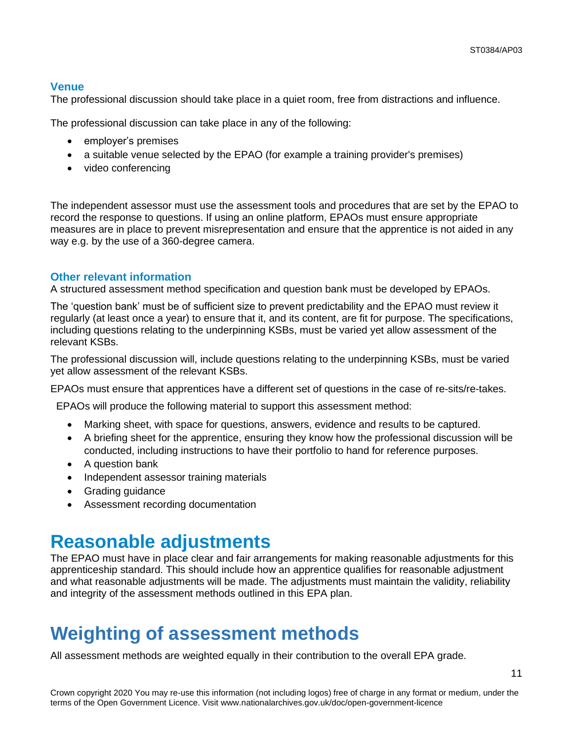### **Venue**

The professional discussion should take place in a quiet room, free from distractions and influence.

The professional discussion can take place in any of the following:

- employer's premises
- a suitable venue selected by the EPAO (for example a training provider's premises)
- video conferencing

The independent assessor must use the assessment tools and procedures that are set by the EPAO to record the response to questions. If using an online platform, EPAOs must ensure appropriate measures are in place to prevent misrepresentation and ensure that the apprentice is not aided in any way e.g. by the use of a 360-degree camera.

### **Other relevant information**

A structured assessment method specification and question bank must be developed by EPAOs.

The 'question bank' must be of sufficient size to prevent predictability and the EPAO must review it regularly (at least once a year) to ensure that it, and its content, are fit for purpose. The specifications, including questions relating to the underpinning KSBs, must be varied yet allow assessment of the relevant KSBs.

The professional discussion will, include questions relating to the underpinning KSBs, must be varied yet allow assessment of the relevant KSBs.

EPAOs must ensure that apprentices have a different set of questions in the case of re-sits/re-takes.

EPAOs will produce the following material to support this assessment method:

- Marking sheet, with space for questions, answers, evidence and results to be captured.
- A briefing sheet for the apprentice, ensuring they know how the professional discussion will be conducted, including instructions to have their portfolio to hand for reference purposes.
- A question bank
- Independent assessor training materials
- Grading guidance
- Assessment recording documentation

### <span id="page-10-0"></span>**Reasonable adjustments**

The EPAO must have in place clear and fair arrangements for making reasonable adjustments for this apprenticeship standard. This should include how an apprentice qualifies for reasonable adjustment and what reasonable adjustments will be made. The adjustments must maintain the validity, reliability and integrity of the assessment methods outlined in this EPA plan.

## **Weighting of assessment methods**

<span id="page-10-1"></span>All assessment methods are weighted equally in their contribution to the overall EPA grade.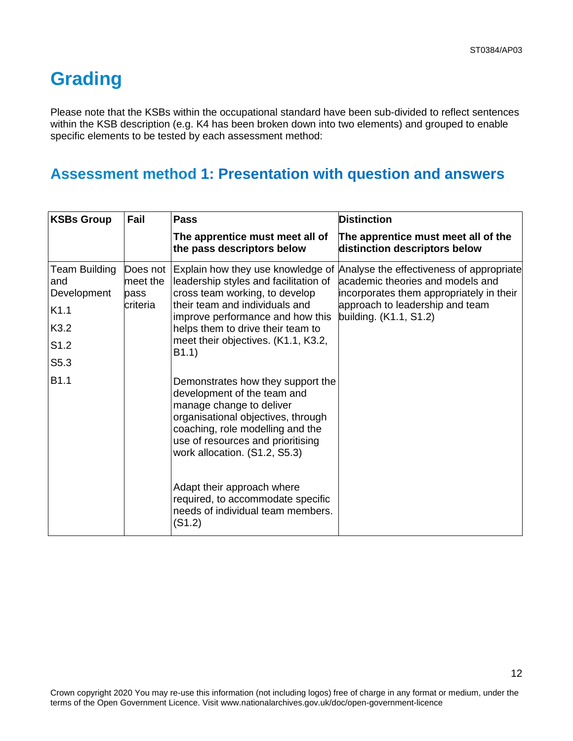# **Grading**

Please note that the KSBs within the occupational standard have been sub-divided to reflect sentences within the KSB description (e.g. K4 has been broken down into two elements) and grouped to enable specific elements to be tested by each assessment method:

### **Assessment method 1: Presentation with question and answers**

| <b>KSBs Group</b>                                  | Fail                                     | <b>Pass</b>                                                                                                                                                                                                                                  | <b>Distinction</b>                                                                                                                                                                    |
|----------------------------------------------------|------------------------------------------|----------------------------------------------------------------------------------------------------------------------------------------------------------------------------------------------------------------------------------------------|---------------------------------------------------------------------------------------------------------------------------------------------------------------------------------------|
|                                                    |                                          | The apprentice must meet all of<br>the pass descriptors below                                                                                                                                                                                | The apprentice must meet all of the<br>distinction descriptors below                                                                                                                  |
| <b>Team Building</b><br>and<br>Development<br>K1.1 | Does not<br>meet the<br>pass<br>criteria | Explain how they use knowledge of<br>leadership styles and facilitation of<br>cross team working, to develop<br>their team and individuals and<br>improve performance and how this                                                           | Analyse the effectiveness of appropriate<br>academic theories and models and<br>incorporates them appropriately in their<br>approach to leadership and team<br>building. (K1.1, S1.2) |
| K3.2                                               |                                          | helps them to drive their team to                                                                                                                                                                                                            |                                                                                                                                                                                       |
| S <sub>1.2</sub>                                   |                                          | meet their objectives. (K1.1, K3.2,<br>B1.1)                                                                                                                                                                                                 |                                                                                                                                                                                       |
| S5.3                                               |                                          |                                                                                                                                                                                                                                              |                                                                                                                                                                                       |
| B1.1                                               |                                          | Demonstrates how they support the<br>development of the team and<br>manage change to deliver<br>organisational objectives, through<br>coaching, role modelling and the<br>use of resources and prioritising<br>work allocation. (S1.2, S5.3) |                                                                                                                                                                                       |
|                                                    |                                          | Adapt their approach where<br>required, to accommodate specific<br>needs of individual team members.<br>(S1.2)                                                                                                                               |                                                                                                                                                                                       |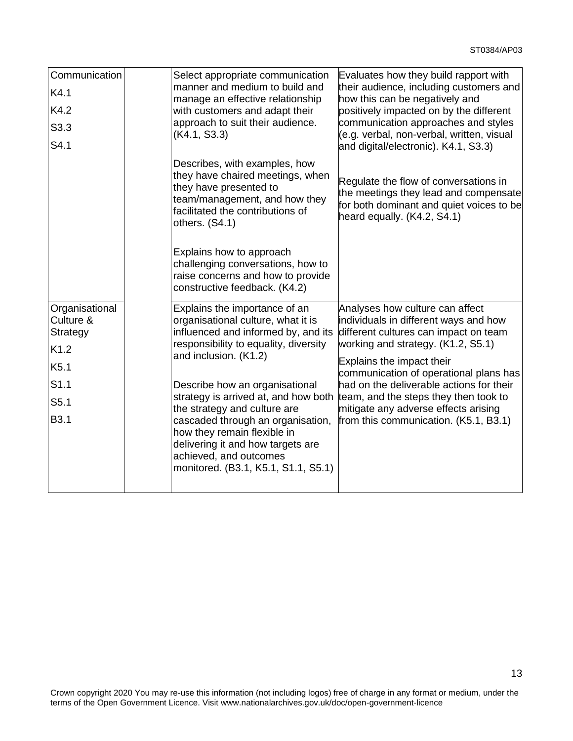| Communication<br>K4.1<br>K4.2<br>S3.3<br>S4.1                                                      | Select appropriate communication<br>manner and medium to build and<br>manage an effective relationship<br>with customers and adapt their<br>approach to suit their audience.<br>(K4.1, S3.3)                                                                                                                                                                                                                                                                     | Evaluates how they build rapport with<br>their audience, including customers and<br>how this can be negatively and<br>positively impacted on by the different<br>communication approaches and styles<br>(e.g. verbal, non-verbal, written, visual<br>and digital/electronic). K4.1, S3.3)                                                                                                            |
|----------------------------------------------------------------------------------------------------|------------------------------------------------------------------------------------------------------------------------------------------------------------------------------------------------------------------------------------------------------------------------------------------------------------------------------------------------------------------------------------------------------------------------------------------------------------------|------------------------------------------------------------------------------------------------------------------------------------------------------------------------------------------------------------------------------------------------------------------------------------------------------------------------------------------------------------------------------------------------------|
|                                                                                                    | Describes, with examples, how<br>they have chaired meetings, when<br>they have presented to<br>team/management, and how they<br>facilitated the contributions of<br>others. (S4.1)                                                                                                                                                                                                                                                                               | Regulate the flow of conversations in<br>the meetings they lead and compensate<br>for both dominant and quiet voices to be<br>heard equally. (K4.2, S4.1)                                                                                                                                                                                                                                            |
|                                                                                                    | Explains how to approach<br>challenging conversations, how to<br>raise concerns and how to provide<br>constructive feedback. (K4.2)                                                                                                                                                                                                                                                                                                                              |                                                                                                                                                                                                                                                                                                                                                                                                      |
| Organisational<br>Culture &<br>Strategy<br>K1.2<br>K5.1<br>S1.1<br>S <sub>5.1</sub><br><b>B3.1</b> | Explains the importance of an<br>organisational culture, what it is<br>influenced and informed by, and its<br>responsibility to equality, diversity<br>and inclusion. (K1.2)<br>Describe how an organisational<br>strategy is arrived at, and how both<br>the strategy and culture are<br>cascaded through an organisation,<br>how they remain flexible in<br>delivering it and how targets are<br>achieved, and outcomes<br>monitored. (B3.1, K5.1, S1.1, S5.1) | Analyses how culture can affect<br>individuals in different ways and how<br>different cultures can impact on team<br>working and strategy. (K1.2, S5.1)<br>Explains the impact their<br>communication of operational plans has<br>had on the deliverable actions for their<br>team, and the steps they then took to<br>mitigate any adverse effects arising<br>from this communication. (K5.1, B3.1) |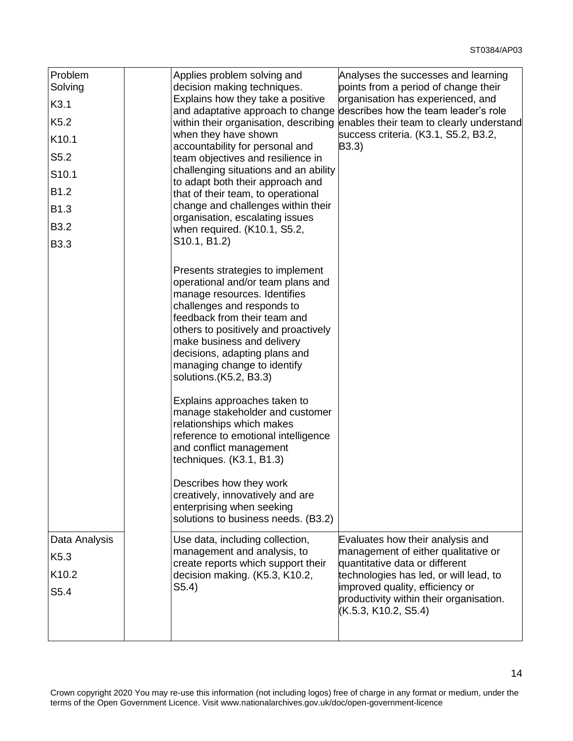14

| Problem<br>Solving<br>K3.1 | Applies problem solving and<br>Analyses the successes and learning<br>decision making techniques.<br>points from a period of change their<br>Explains how they take a positive<br>organisation has experienced, and                                                                                                                                                                                                                                                                                                                                                                                                                                                  |
|----------------------------|----------------------------------------------------------------------------------------------------------------------------------------------------------------------------------------------------------------------------------------------------------------------------------------------------------------------------------------------------------------------------------------------------------------------------------------------------------------------------------------------------------------------------------------------------------------------------------------------------------------------------------------------------------------------|
|                            | describes how the team leader's role<br>and adaptative approach to change                                                                                                                                                                                                                                                                                                                                                                                                                                                                                                                                                                                            |
| K <sub>5.2</sub>           | within their organisation, describing<br>enables their team to clearly understand<br>when they have shown<br>success criteria. (K3.1, S5.2, B3.2,                                                                                                                                                                                                                                                                                                                                                                                                                                                                                                                    |
| K10.1                      | accountability for personal and<br>B3.3)                                                                                                                                                                                                                                                                                                                                                                                                                                                                                                                                                                                                                             |
| S5.2                       | team objectives and resilience in                                                                                                                                                                                                                                                                                                                                                                                                                                                                                                                                                                                                                                    |
| S <sub>10.1</sub>          | challenging situations and an ability<br>to adapt both their approach and                                                                                                                                                                                                                                                                                                                                                                                                                                                                                                                                                                                            |
| B1.2                       | that of their team, to operational                                                                                                                                                                                                                                                                                                                                                                                                                                                                                                                                                                                                                                   |
| B1.3                       | change and challenges within their<br>organisation, escalating issues                                                                                                                                                                                                                                                                                                                                                                                                                                                                                                                                                                                                |
| <b>B3.2</b>                | when required. (K10.1, S5.2,                                                                                                                                                                                                                                                                                                                                                                                                                                                                                                                                                                                                                                         |
| <b>B3.3</b>                | S <sub>10.1</sub> , B <sub>1.2</sub> )                                                                                                                                                                                                                                                                                                                                                                                                                                                                                                                                                                                                                               |
|                            | Presents strategies to implement<br>operational and/or team plans and<br>manage resources. Identifies<br>challenges and responds to<br>feedback from their team and<br>others to positively and proactively<br>make business and delivery<br>decisions, adapting plans and<br>managing change to identify<br>solutions.(K5.2, B3.3)<br>Explains approaches taken to<br>manage stakeholder and customer<br>relationships which makes<br>reference to emotional intelligence<br>and conflict management<br>techniques. (K3.1, B1.3)<br>Describes how they work<br>creatively, innovatively and are<br>enterprising when seeking<br>solutions to business needs. (B3.2) |
| Data Analysis              | Evaluates how their analysis and<br>Use data, including collection,                                                                                                                                                                                                                                                                                                                                                                                                                                                                                                                                                                                                  |
| K <sub>5.3</sub>           | management of either qualitative or<br>management and analysis, to<br>create reports which support their<br>quantitative data or different                                                                                                                                                                                                                                                                                                                                                                                                                                                                                                                           |
| K10.2                      | technologies has led, or will lead, to<br>decision making. (K5.3, K10.2,                                                                                                                                                                                                                                                                                                                                                                                                                                                                                                                                                                                             |
| S5.4                       | improved quality, efficiency or<br>S5.4)<br>productivity within their organisation.                                                                                                                                                                                                                                                                                                                                                                                                                                                                                                                                                                                  |
|                            | (K.5.3, K10.2, S5.4)                                                                                                                                                                                                                                                                                                                                                                                                                                                                                                                                                                                                                                                 |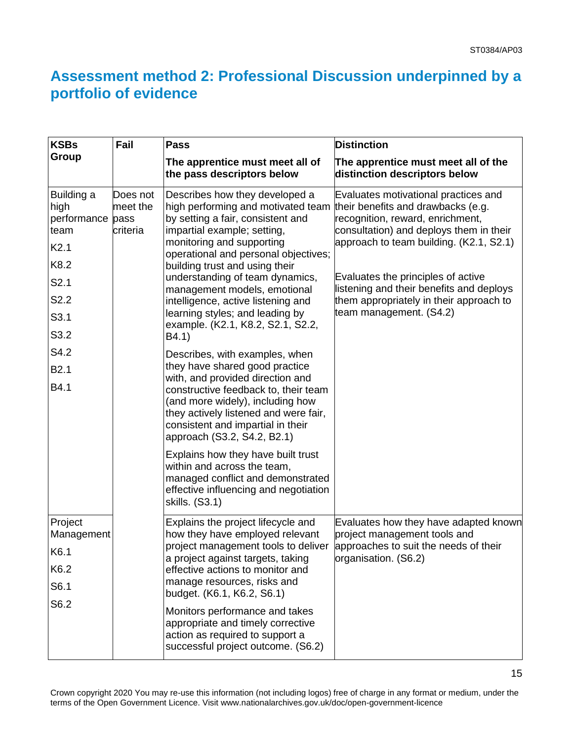### **Assessment method 2: Professional Discussion underpinned by a portfolio of evidence**

| <b>KSBs</b>                                                                               | Fail                                     | <b>Pass</b>                                                                                                                                                                                                                                                                                                                                                                                                                                                        | <b>Distinction</b>                                                                                                                                                                                                                                                                                                                                           |
|-------------------------------------------------------------------------------------------|------------------------------------------|--------------------------------------------------------------------------------------------------------------------------------------------------------------------------------------------------------------------------------------------------------------------------------------------------------------------------------------------------------------------------------------------------------------------------------------------------------------------|--------------------------------------------------------------------------------------------------------------------------------------------------------------------------------------------------------------------------------------------------------------------------------------------------------------------------------------------------------------|
| Group                                                                                     |                                          | The apprentice must meet all of<br>the pass descriptors below                                                                                                                                                                                                                                                                                                                                                                                                      | The apprentice must meet all of the<br>distinction descriptors below                                                                                                                                                                                                                                                                                         |
| Building a<br>high<br>performance<br>team<br>K2.1<br>K8.2<br>S2.1<br>S2.2<br>S3.1<br>S3.2 | Does not<br>meet the<br>pass<br>criteria | Describes how they developed a<br>high performing and motivated team<br>by setting a fair, consistent and<br>impartial example; setting,<br>monitoring and supporting<br>operational and personal objectives;<br>building trust and using their<br>understanding of team dynamics,<br>management models, emotional<br>intelligence, active listening and<br>learning styles; and leading by<br>example. (K2.1, K8.2, S2.1, S2.2,<br>B4.1)                          | Evaluates motivational practices and<br>their benefits and drawbacks (e.g.<br>recognition, reward, enrichment,<br>consultation) and deploys them in their<br>approach to team building. (K2.1, S2.1)<br>Evaluates the principles of active<br>listening and their benefits and deploys<br>them appropriately in their approach to<br>team management. (S4.2) |
| S4.2<br>B <sub>2.1</sub><br>B4.1                                                          |                                          | Describes, with examples, when<br>they have shared good practice<br>with, and provided direction and<br>constructive feedback to, their team<br>(and more widely), including how<br>they actively listened and were fair,<br>consistent and impartial in their<br>approach (S3.2, S4.2, B2.1)<br>Explains how they have built trust<br>within and across the team,<br>managed conflict and demonstrated<br>effective influencing and negotiation<br>skills. (S3.1) |                                                                                                                                                                                                                                                                                                                                                              |
| Project<br>Management<br>K6.1<br>K6.2<br>S6.1<br>S6.2                                     |                                          | Explains the project lifecycle and<br>how they have employed relevant<br>project management tools to deliver<br>a project against targets, taking<br>effective actions to monitor and<br>manage resources, risks and<br>budget. (K6.1, K6.2, S6.1)<br>Monitors performance and takes<br>appropriate and timely corrective<br>action as required to support a<br>successful project outcome. (S6.2)                                                                 | Evaluates how they have adapted known<br>project management tools and<br>approaches to suit the needs of their<br>organisation. (S6.2)                                                                                                                                                                                                                       |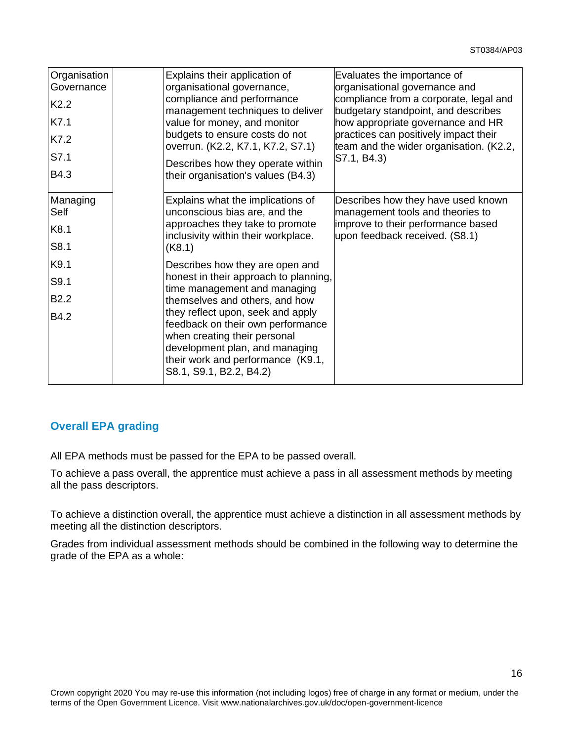| Organisation<br>Governance<br>K <sub>2.2</sub><br>K7.1<br>K7.2<br>S7.1<br>B4.3 | Explains their application of<br>organisational governance,<br>compliance and performance<br>management techniques to deliver<br>value for money, and monitor<br>budgets to ensure costs do not<br>overrun. (K2.2, K7.1, K7.2, S7.1)<br>Describes how they operate within<br>their organisation's values (B4.3)                                        | Evaluates the importance of<br>organisational governance and<br>compliance from a corporate, legal and<br>budgetary standpoint, and describes<br>how appropriate governance and HR<br>practices can positively impact their<br>team and the wider organisation. (K2.2,<br>S7.1, B4.3) |
|--------------------------------------------------------------------------------|--------------------------------------------------------------------------------------------------------------------------------------------------------------------------------------------------------------------------------------------------------------------------------------------------------------------------------------------------------|---------------------------------------------------------------------------------------------------------------------------------------------------------------------------------------------------------------------------------------------------------------------------------------|
| Managing<br>Self<br>K8.1<br>S8.1                                               | Explains what the implications of<br>unconscious bias are, and the<br>approaches they take to promote<br>inclusivity within their workplace.<br>(K8.1)                                                                                                                                                                                                 | Describes how they have used known<br>management tools and theories to<br>improve to their performance based<br>upon feedback received. (S8.1)                                                                                                                                        |
| K9.1<br>S9.1<br>B <sub>2.2</sub><br>B4.2                                       | Describes how they are open and<br>honest in their approach to planning,<br>time management and managing<br>themselves and others, and how<br>they reflect upon, seek and apply<br>feedback on their own performance<br>when creating their personal<br>development plan, and managing<br>their work and performance (K9.1,<br>S8.1, S9.1, B2.2, B4.2) |                                                                                                                                                                                                                                                                                       |

### **Overall EPA grading**

All EPA methods must be passed for the EPA to be passed overall.

To achieve a pass overall, the apprentice must achieve a pass in all assessment methods by meeting all the pass descriptors.

To achieve a distinction overall, the apprentice must achieve a distinction in all assessment methods by meeting all the distinction descriptors.

Grades from individual assessment methods should be combined in the following way to determine the grade of the EPA as a whole: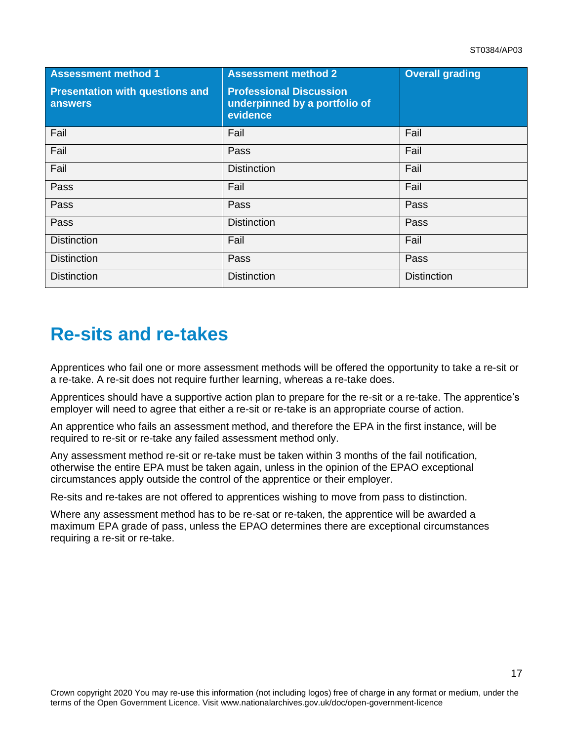| <b>Assessment method 1</b>                        | <b>Assessment method 2</b>                                                  | <b>Overall grading</b> |
|---------------------------------------------------|-----------------------------------------------------------------------------|------------------------|
| <b>Presentation with questions and</b><br>answers | <b>Professional Discussion</b><br>underpinned by a portfolio of<br>evidence |                        |
| Fail                                              | Fail                                                                        | Fail                   |
| Fail                                              | Pass                                                                        | Fail                   |
| Fail                                              | <b>Distinction</b>                                                          | Fail                   |
| Pass                                              | Fail                                                                        | Fail                   |
| Pass                                              | Pass                                                                        | Pass                   |
| Pass                                              | <b>Distinction</b>                                                          | Pass                   |
| <b>Distinction</b>                                | Fail                                                                        | Fail                   |
| <b>Distinction</b>                                | Pass                                                                        | Pass                   |
| <b>Distinction</b>                                | <b>Distinction</b>                                                          | <b>Distinction</b>     |

# <span id="page-16-0"></span>**Re-sits and re-takes**

Apprentices who fail one or more assessment methods will be offered the opportunity to take a re-sit or a re-take. A re-sit does not require further learning, whereas a re-take does.

Apprentices should have a supportive action plan to prepare for the re-sit or a re-take. The apprentice's employer will need to agree that either a re-sit or re-take is an appropriate course of action.

An apprentice who fails an assessment method, and therefore the EPA in the first instance, will be required to re-sit or re-take any failed assessment method only.

Any assessment method re-sit or re-take must be taken within 3 months of the fail notification, otherwise the entire EPA must be taken again, unless in the opinion of the EPAO exceptional circumstances apply outside the control of the apprentice or their employer.

Re-sits and re-takes are not offered to apprentices wishing to move from pass to distinction.

Where any assessment method has to be re-sat or re-taken, the apprentice will be awarded a maximum EPA grade of pass, unless the EPAO determines there are exceptional circumstances requiring a re-sit or re-take.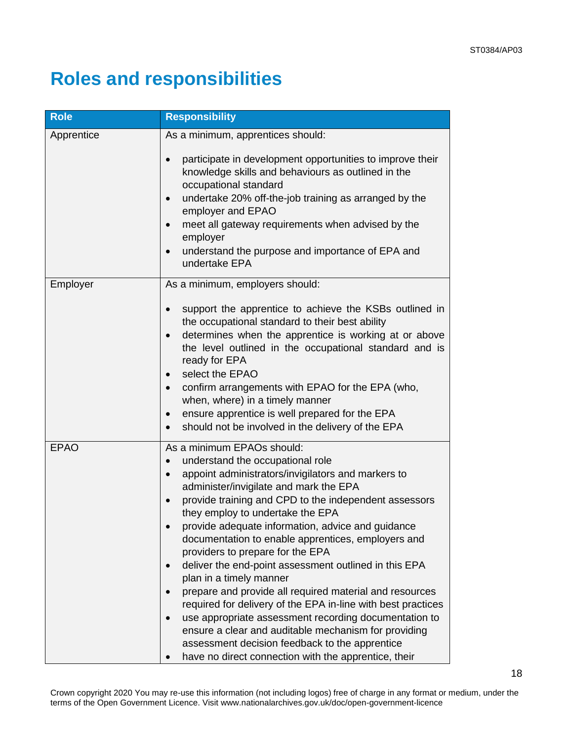# <span id="page-17-0"></span>**Roles and responsibilities**

| <b>Role</b> | <b>Responsibility</b>                                                                                                                                                                                                                                                                                                                                                                                                                                                                                                                                                                                                                                                                                                                                                                                                                                                                       |  |
|-------------|---------------------------------------------------------------------------------------------------------------------------------------------------------------------------------------------------------------------------------------------------------------------------------------------------------------------------------------------------------------------------------------------------------------------------------------------------------------------------------------------------------------------------------------------------------------------------------------------------------------------------------------------------------------------------------------------------------------------------------------------------------------------------------------------------------------------------------------------------------------------------------------------|--|
| Apprentice  | As a minimum, apprentices should:                                                                                                                                                                                                                                                                                                                                                                                                                                                                                                                                                                                                                                                                                                                                                                                                                                                           |  |
|             | participate in development opportunities to improve their<br>$\bullet$<br>knowledge skills and behaviours as outlined in the<br>occupational standard<br>undertake 20% off-the-job training as arranged by the<br>$\bullet$<br>employer and EPAO<br>meet all gateway requirements when advised by the<br>$\bullet$<br>employer<br>understand the purpose and importance of EPA and<br>$\bullet$<br>undertake EPA                                                                                                                                                                                                                                                                                                                                                                                                                                                                            |  |
| Employer    | As a minimum, employers should:                                                                                                                                                                                                                                                                                                                                                                                                                                                                                                                                                                                                                                                                                                                                                                                                                                                             |  |
|             | support the apprentice to achieve the KSBs outlined in<br>$\bullet$<br>the occupational standard to their best ability<br>determines when the apprentice is working at or above<br>$\bullet$<br>the level outlined in the occupational standard and is<br>ready for EPA<br>select the EPAO<br>confirm arrangements with EPAO for the EPA (who,<br>$\bullet$<br>when, where) in a timely manner<br>ensure apprentice is well prepared for the EPA<br>$\bullet$<br>should not be involved in the delivery of the EPA                                                                                                                                                                                                                                                                                                                                                                          |  |
| <b>EPAO</b> | As a minimum EPAOs should:<br>understand the occupational role<br>appoint administrators/invigilators and markers to<br>$\bullet$<br>administer/invigilate and mark the EPA<br>provide training and CPD to the independent assessors<br>$\bullet$<br>they employ to undertake the EPA<br>provide adequate information, advice and guidance<br>documentation to enable apprentices, employers and<br>providers to prepare for the EPA<br>deliver the end-point assessment outlined in this EPA<br>$\bullet$<br>plan in a timely manner<br>prepare and provide all required material and resources<br>required for delivery of the EPA in-line with best practices<br>use appropriate assessment recording documentation to<br>ensure a clear and auditable mechanism for providing<br>assessment decision feedback to the apprentice<br>have no direct connection with the apprentice, their |  |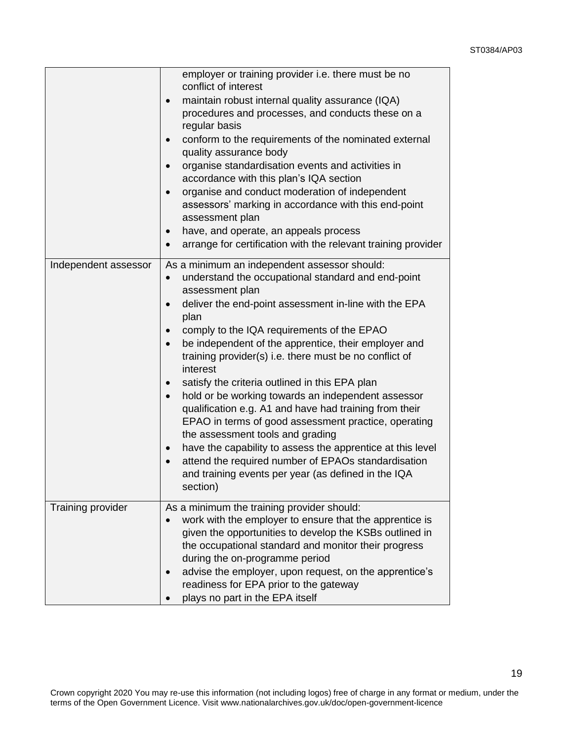19

|                      | employer or training provider i.e. there must be no<br>conflict of interest<br>maintain robust internal quality assurance (IQA)<br>$\bullet$<br>procedures and processes, and conducts these on a<br>regular basis<br>conform to the requirements of the nominated external<br>quality assurance body<br>organise standardisation events and activities in<br>$\bullet$<br>accordance with this plan's IQA section<br>organise and conduct moderation of independent<br>$\bullet$<br>assessors' marking in accordance with this end-point<br>assessment plan<br>have, and operate, an appeals process<br>arrange for certification with the relevant training provider<br>$\bullet$                                                                                                                                                                                                                    |
|----------------------|--------------------------------------------------------------------------------------------------------------------------------------------------------------------------------------------------------------------------------------------------------------------------------------------------------------------------------------------------------------------------------------------------------------------------------------------------------------------------------------------------------------------------------------------------------------------------------------------------------------------------------------------------------------------------------------------------------------------------------------------------------------------------------------------------------------------------------------------------------------------------------------------------------|
| Independent assessor | As a minimum an independent assessor should:<br>understand the occupational standard and end-point<br>$\bullet$<br>assessment plan<br>deliver the end-point assessment in-line with the EPA<br>plan<br>comply to the IQA requirements of the EPAO<br>be independent of the apprentice, their employer and<br>$\bullet$<br>training provider(s) i.e. there must be no conflict of<br>interest<br>satisfy the criteria outlined in this EPA plan<br>$\bullet$<br>hold or be working towards an independent assessor<br>$\bullet$<br>qualification e.g. A1 and have had training from their<br>EPAO in terms of good assessment practice, operating<br>the assessment tools and grading<br>have the capability to assess the apprentice at this level<br>$\bullet$<br>attend the required number of EPAOs standardisation<br>$\bullet$<br>and training events per year (as defined in the IQA<br>section) |
| Training provider    | As a minimum the training provider should:<br>work with the employer to ensure that the apprentice is<br>given the opportunities to develop the KSBs outlined in<br>the occupational standard and monitor their progress<br>during the on-programme period<br>advise the employer, upon request, on the apprentice's<br>readiness for EPA prior to the gateway<br>plays no part in the EPA itself                                                                                                                                                                                                                                                                                                                                                                                                                                                                                                      |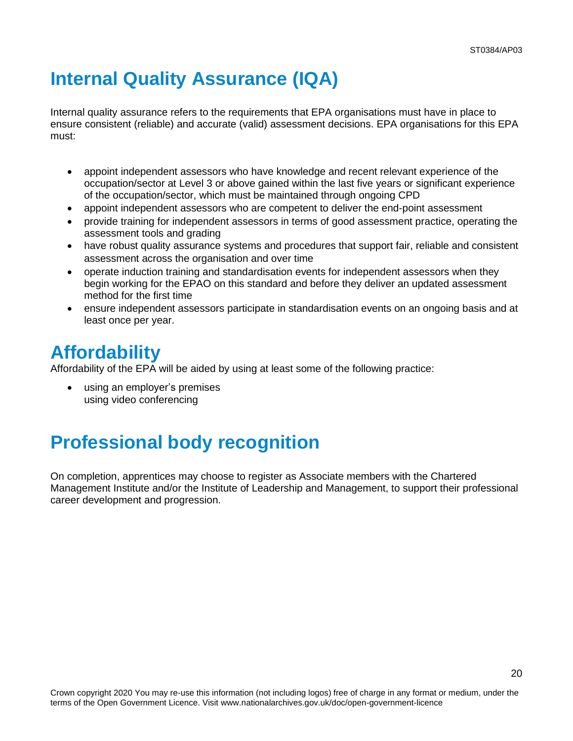# <span id="page-19-0"></span>**Internal Quality Assurance (IQA)**

Internal quality assurance refers to the requirements that EPA organisations must have in place to ensure consistent (reliable) and accurate (valid) assessment decisions. EPA organisations for this EPA must:

- appoint independent assessors who have knowledge and recent relevant experience of the occupation/sector at Level 3 or above gained within the last five years or significant experience of the occupation/sector, which must be maintained through ongoing CPD
- appoint independent assessors who are competent to deliver the end-point assessment
- provide training for independent assessors in terms of good assessment practice, operating the assessment tools and grading
- have robust quality assurance systems and procedures that support fair, reliable and consistent assessment across the organisation and over time
- operate induction training and standardisation events for independent assessors when they begin working for the EPAO on this standard and before they deliver an updated assessment method for the first time
- ensure independent assessors participate in standardisation events on an ongoing basis and at least once per year.

## <span id="page-19-1"></span>**Affordability**

Affordability of the EPA will be aided by using at least some of the following practice:

using an employer's premises using video conferencing

# <span id="page-19-2"></span>**Professional body recognition**

On completion, apprentices may choose to register as Associate members with the Chartered Management Institute and/or the Institute of Leadership and Management, to support their professional career development and progression.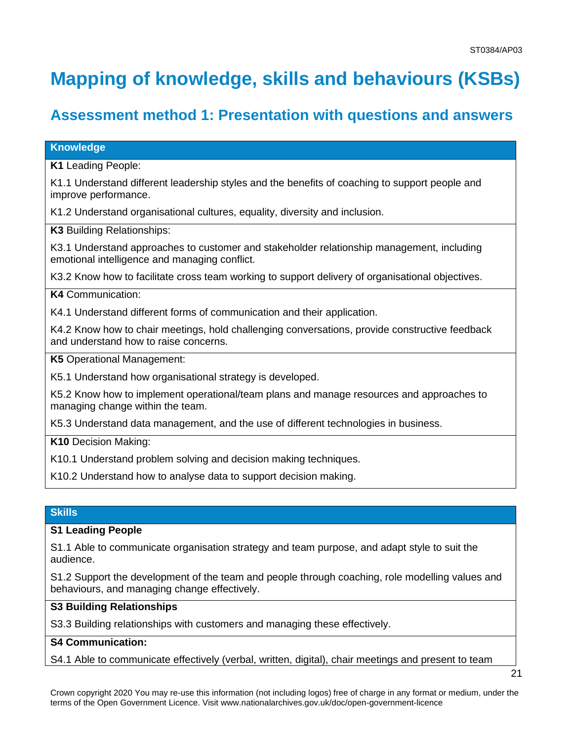# <span id="page-20-0"></span>**Mapping of knowledge, skills and behaviours (KSBs)**

### **Assessment method 1: Presentation with questions and answers**

### **Knowledge**

**K1** Leading People:

K1.1 Understand different leadership styles and the benefits of coaching to support people and improve performance.

K1.2 Understand organisational cultures, equality, diversity and inclusion.

**K3** Building Relationships:

K3.1 Understand approaches to customer and stakeholder relationship management, including emotional intelligence and managing conflict.

K3.2 Know how to facilitate cross team working to support delivery of organisational objectives.

### **K4** Communication:

K4.1 Understand different forms of communication and their application.

K4.2 Know how to chair meetings, hold challenging conversations, provide constructive feedback and understand how to raise concerns.

**K5** Operational Management:

K5.1 Understand how organisational strategy is developed.

K5.2 Know how to implement operational/team plans and manage resources and approaches to managing change within the team.

K5.3 Understand data management, and the use of different technologies in business.

**K10** Decision Making:

K10.1 Understand problem solving and decision making techniques.

K10.2 Understand how to analyse data to support decision making.

### **Skills**

### **S1 Leading People**

S1.1 Able to communicate organisation strategy and team purpose, and adapt style to suit the audience.

S1.2 Support the development of the team and people through coaching, role modelling values and behaviours, and managing change effectively.

### **S3 Building Relationships**

S3.3 Building relationships with customers and managing these effectively.

### **S4 Communication:**

S4.1 Able to communicate effectively (verbal, written, digital), chair meetings and present to team

Crown copyright 2020 You may re-use this information (not including logos) free of charge in any format or medium, under the terms of the Open Government Licence. Visit www.nationalarchives.gov.uk/doc/open-government-licence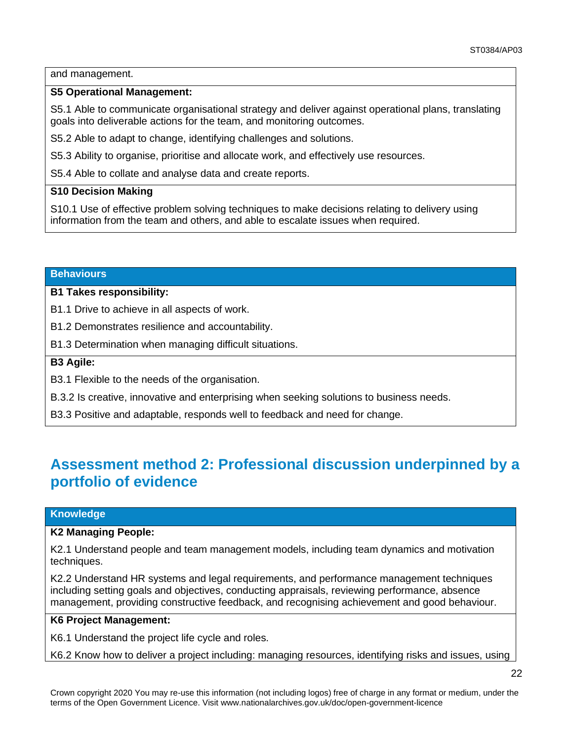### and management.

### **S5 Operational Management:**

S5.1 Able to communicate organisational strategy and deliver against operational plans, translating goals into deliverable actions for the team, and monitoring outcomes.

S5.2 Able to adapt to change, identifying challenges and solutions.

S5.3 Ability to organise, prioritise and allocate work, and effectively use resources.

S5.4 Able to collate and analyse data and create reports.

### **S10 Decision Making**

S10.1 Use of effective problem solving techniques to make decisions relating to delivery using information from the team and others, and able to escalate issues when required.

#### **Behaviours**

### **B1 Takes responsibility:**

B1.1 Drive to achieve in all aspects of work.

B1.2 Demonstrates resilience and accountability.

B1.3 Determination when managing difficult situations.

### **B3 Agile:**

B3.1 Flexible to the needs of the organisation.

B.3.2 Is creative, innovative and enterprising when seeking solutions to business needs.

B3.3 Positive and adaptable, responds well to feedback and need for change.

### **Assessment method 2: Professional discussion underpinned by a portfolio of evidence**

### **Knowledge**

#### **K2 Managing People:**

K2.1 Understand people and team management models, including team dynamics and motivation techniques.

K2.2 Understand HR systems and legal requirements, and performance management techniques including setting goals and objectives, conducting appraisals, reviewing performance, absence management, providing constructive feedback, and recognising achievement and good behaviour.

### **K6 Project Management:**

K6.1 Understand the project life cycle and roles.

K6.2 Know how to deliver a project including: managing resources, identifying risks and issues, using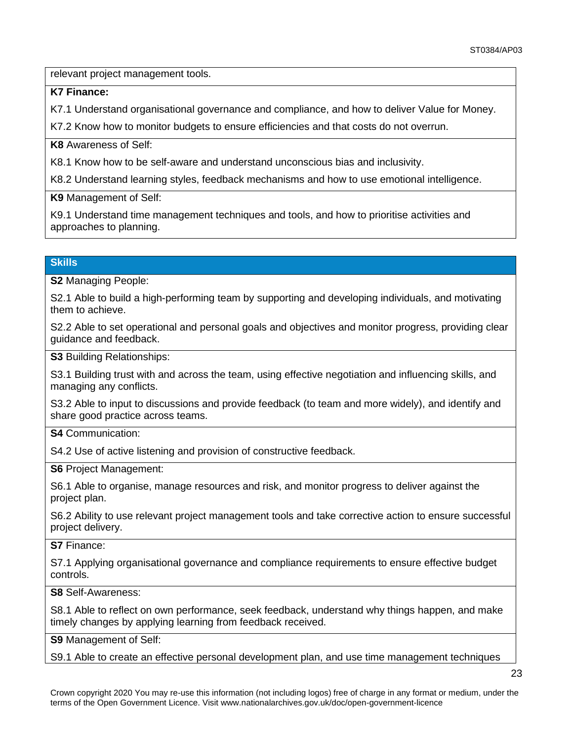relevant project management tools.

**K7 Finance:** 

K7.1 Understand organisational governance and compliance, and how to deliver Value for Money.

K7.2 Know how to monitor budgets to ensure efficiencies and that costs do not overrun.

**K8** Awareness of Self:

K8.1 Know how to be self-aware and understand unconscious bias and inclusivity.

K8.2 Understand learning styles, feedback mechanisms and how to use emotional intelligence.

**K9** Management of Self:

K9.1 Understand time management techniques and tools, and how to prioritise activities and approaches to planning.

### **Skills**

**S2** Managing People:

S2.1 Able to build a high-performing team by supporting and developing individuals, and motivating them to achieve.

S2.2 Able to set operational and personal goals and objectives and monitor progress, providing clear guidance and feedback.

**S3** Building Relationships:

S3.1 Building trust with and across the team, using effective negotiation and influencing skills, and managing any conflicts.

S3.2 Able to input to discussions and provide feedback (to team and more widely), and identify and share good practice across teams.

**S4** Communication:

S4.2 Use of active listening and provision of constructive feedback.

**S6** Project Management:

S6.1 Able to organise, manage resources and risk, and monitor progress to deliver against the project plan.

S6.2 Ability to use relevant project management tools and take corrective action to ensure successful project delivery.

**S7** Finance:

S7.1 Applying organisational governance and compliance requirements to ensure effective budget controls.

**S8** Self-Awareness:

S8.1 Able to reflect on own performance, seek feedback, understand why things happen, and make timely changes by applying learning from feedback received.

**S9** Management of Self:

S9.1 Able to create an effective personal development plan, and use time management techniques